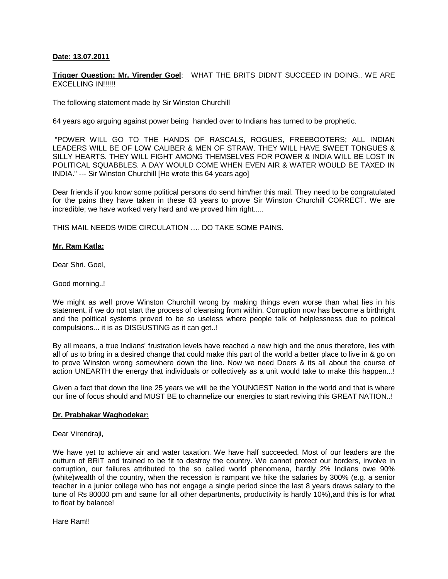### **Date: 13.07.2011**

**Trigger Question: Mr. Virender Goel**: WHAT THE BRITS DIDN'T SUCCEED IN DOING.. WE ARE EXCELLING IN!!!!!!

The following statement made by Sir Winston Churchill

64 years ago arguing against power being handed over to Indians has turned to be prophetic.

"POWER WILL GO TO THE HANDS OF RASCALS, ROGUES, FREEBOOTERS; ALL INDIAN LEADERS WILL BE OF LOW CALIBER & MEN OF STRAW. THEY WILL HAVE SWEET TONGUES & SILLY HEARTS. THEY WILL FIGHT AMONG THEMSELVES FOR POWER & INDIA WILL BE LOST IN POLITICAL SQUABBLES. A DAY WOULD COME WHEN EVEN AIR & WATER WOULD BE TAXED IN INDIA." --- Sir Winston Churchill [He wrote this 64 years ago]

Dear friends if you know some political persons do send him/her this mail. They need to be congratulated for the pains they have taken in these 63 years to prove Sir Winston Churchill CORRECT. We are incredible; we have worked very hard and we proved him right.....

THIS MAIL NEEDS WIDE CIRCULATION …. DO TAKE SOME PAINS.

### **Mr. Ram Katla:**

Dear Shri. Goel,

Good morning..!

We might as well prove Winston Churchill wrong by making things even worse than what lies in his statement, if we do not start the process of cleansing from within. Corruption now has become a birthright and the political systems proved to be so useless where people talk of helplessness due to political compulsions... it is as DISGUSTING as it can get..!

By all means, a true Indians' frustration levels have reached a new high and the onus therefore, lies with all of us to bring in a desired change that could make this part of the world a better place to live in & go on to prove Winston wrong somewhere down the line. Now we need Doers & its all about the course of action UNEARTH the energy that individuals or collectively as a unit would take to make this happen...!

Given a fact that down the line 25 years we will be the YOUNGEST Nation in the world and that is where our line of focus should and MUST BE to channelize our energies to start reviving this GREAT NATION..!

#### **Dr. Prabhakar Waghodekar:**

Dear Virendraji,

We have yet to achieve air and water taxation. We have half succeeded. Most of our leaders are the outturn of BRIT and trained to be fit to destroy the country. We cannot protect our borders, involve in corruption, our failures attributed to the so called world phenomena, hardly 2% Indians owe 90% (white)wealth of the country, when the recession is rampant we hike the salaries by 300% (e.g. a senior teacher in a junior college who has not engage a single period since the last 8 years draws salary to the tune of Rs 80000 pm and same for all other departments, productivity is hardly 10%),and this is for what to float by balance!

Hare Ram!!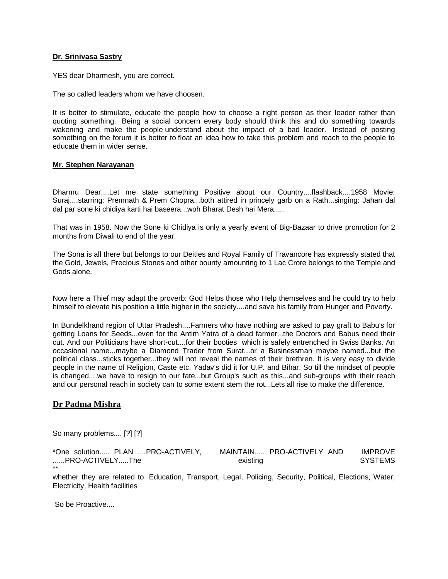### **Dr. Srinivasa Sastry**

YES dear Dharmesh, you are correct.

The so called leaders whom we have choosen.

It is better to stimulate, educate the people how to choose a right person as their leader rather than quoting something. Being a social concern every body should think this and do something towards wakening and make the people understand about the impact of a bad leader. Instead of posting something on the forum it is better to float an idea how to take this problem and reach to the people to educate them in wider sense.

#### **Mr. Stephen Narayanan**

Dharmu Dear....Let me state something Positive about our Country....flashback....1958 Movie: Suraj....starring: Premnath & Prem Chopra...both attired in princely garb on a Rath...singing: Jahan dal dal par sone ki chidiya karti hai baseera...woh Bharat Desh hai Mera.....

That was in 1958. Now the Sone ki Chidiya is only a yearly event of Big-Bazaar to drive promotion for 2 months from Diwali to end of the year.

The Sona is all there but belongs to our Deities and Royal Family of Travancore has expressly stated that the Gold, Jewels, Precious Stones and other bounty amounting to 1 Lac Crore belongs to the Temple and Gods alone.

Now here a Thief may adapt the proverb: God Helps those who Help themselves and he could try to help himself to elevate his position a little higher in the society....and save his family from Hunger and Poverty.

In Bundelkhand region of Uttar Pradesh....Farmers who have nothing are asked to pay graft to Babu's for getting Loans for Seeds...even for the Antim Yatra of a dead farmer...the Doctors and Babus need their cut. And our Politicians have short-cut....for their booties which is safely entrenched in Swiss Banks. An occasional name...maybe a Diamond Trader from Surat...or a Businessman maybe named...but the political class...sticks together...they will not reveal the names of their brethren. It is very easy to divide people in the name of Religion, Caste etc. Yadav's did it for U.P. and Bihar. So till the mindset of people is changed....we have to resign to our fate...but Group's such as this...and sub-groups with their reach and our personal reach in society can to some extent stem the rot...Lets all rise to make the difference.

### **Dr Padma Mishra**

So many problems.... [?] [?]

| *One solution PLAN PRO-ACTIVELY, | MAINTAIN PRO-ACTIVELY AND | IMPROVE |
|----------------------------------|---------------------------|---------|
| PRO-ACTIVELYThe                  | existing                  | SYSTEMS |
| $***$                            |                           |         |

whether they are related to Education, Transport, Legal, Policing, Security, Political, Elections, Water, Electricity, Health facilities

So be Proactive....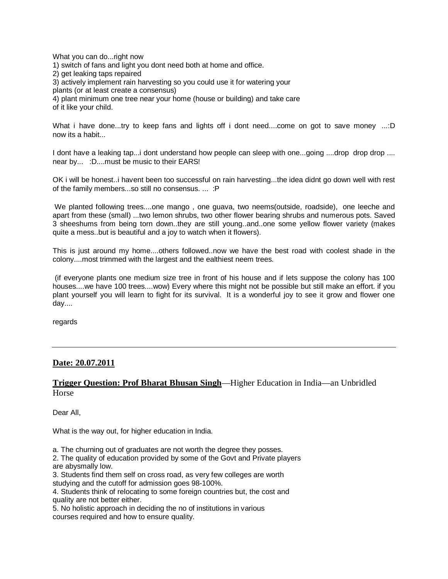What you can do...right now 1) switch of fans and light you dont need both at home and office. 2) get leaking taps repaired 3) actively implement rain harvesting so you could use it for watering your plants (or at least create a consensus) 4) plant minimum one tree near your home (house or building) and take care

of it like your child.

What i have done...try to keep fans and lights off i dont need....come on got to save money ...:D now its a habit...

I dont have a leaking tap...i dont understand how people can sleep with one...going ....drop drop drop .... near by... :D....must be music to their EARS!

OK i will be honest..i havent been too successful on rain harvesting...the idea didnt go down well with rest of the family members...so still no consensus. ... :P

We planted following trees....one mango , one guava, two neems(outside, roadside), one leeche and apart from these (small) ...two lemon shrubs, two other flower bearing shrubs and numerous pots. Saved 3 sheeshums from being torn down..they are still young..and..one some yellow flower variety (makes quite a mess..but is beautiful and a joy to watch when it flowers).

This is just around my home....others followed..now we have the best road with coolest shade in the colony....most trimmed with the largest and the ealthiest neem trees.

(if everyone plants one medium size tree in front of his house and if lets suppose the colony has 100 houses....we have 100 trees....wow) Every where this might not be possible but still make an effort. if you plant yourself you will learn to fight for its survival. It is a wonderful joy to see it grow and flower one day....

regards

### **Date: 20.07.2011**

## **Trigger Question: Prof Bharat Bhusan Singh**—Higher Education in India—an Unbridled Horse

Dear All,

What is the way out, for higher education in India.

a. The churning out of graduates are not worth the degree they posses.

2. The quality of education provided by some of the Govt and Private players are abysmally low.

3. Students find them self on cross road, as very few colleges are worth

studying and the cutoff for admission goes 98-100%.

4. Students think of relocating to some foreign countries but, the cost and quality are not better either.

5. No holistic approach in deciding the no of institutions in various courses required and how to ensure quality.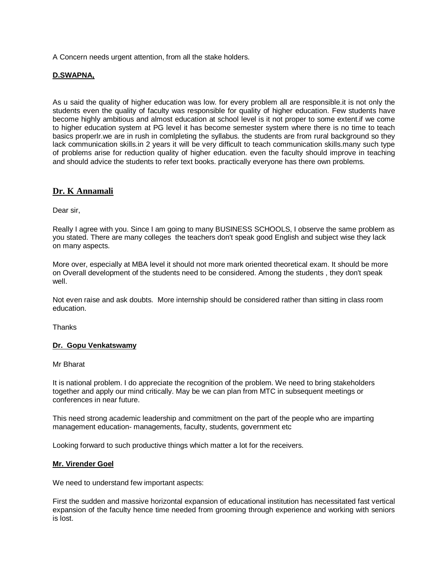A Concern needs urgent attention, from all the stake holders.

### **D.SWAPNA,**

As u said the quality of higher education was low. for every problem all are responsible.it is not only the students even the quality of faculty was responsible for quality of higher education. Few students have become highly ambitious and almost education at school level is it not proper to some extent.if we come to higher education system at PG level it has become semester system where there is no time to teach basics properlr.we are in rush in comlpleting the syllabus. the students are from rural background so they lack communication skills.in 2 years it will be very difficult to teach communication skills.many such type of problems arise for reduction quality of higher education. even the faculty should improve in teaching and should advice the students to refer text books. practically everyone has there own problems.

## **Dr. K Annamali**

Dear sir,

Really I agree with you. Since I am going to many BUSINESS SCHOOLS, I observe the same problem as you stated. There are many colleges the teachers don't speak good English and subject wise they lack on many aspects.

More over, especially at MBA level it should not more mark oriented theoretical exam. It should be more on Overall development of the students need to be considered. Among the students , they don't speak well.

Not even raise and ask doubts. More internship should be considered rather than sitting in class room education.

**Thanks** 

### **Dr. Gopu Venkatswamy**

Mr Bharat

It is national problem. I do appreciate the recognition of the problem. We need to bring stakeholders together and apply our mind critically. May be we can plan from MTC in subsequent meetings or conferences in near future.

This need strong academic leadership and commitment on the part of the people who are imparting management education- managements, faculty, students, government etc

Looking forward to such productive things which matter a lot for the receivers.

### **Mr. Virender Goel**

We need to understand few important aspects:

First the sudden and massive horizontal expansion of educational institution has necessitated fast vertical expansion of the faculty hence time needed from grooming through experience and working with seniors is lost.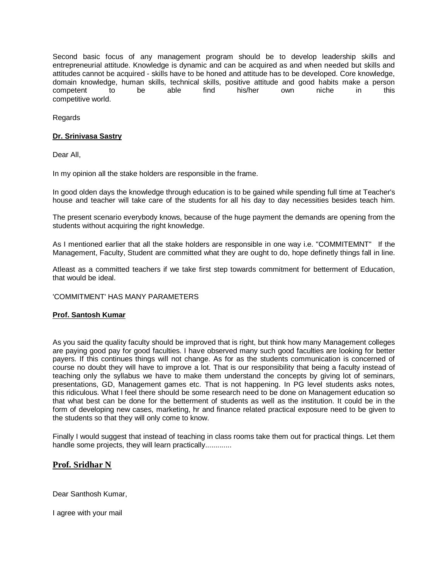Second basic focus of any management program should be to develop leadership skills and entrepreneurial attitude. Knowledge is dynamic and can be acquired as and when needed but skills and attitudes cannot be acquired - skills have to be honed and attitude has to be developed. Core knowledge, domain knowledge, human skills, technical skills, positive attitude and good habits make a person competent to be able find his/her own niche in this competitive world.

Regards

### **Dr. Srinivasa Sastry**

Dear All,

In my opinion all the stake holders are responsible in the frame.

In good olden days the knowledge through education is to be gained while spending full time at Teacher's house and teacher will take care of the students for all his day to day necessities besides teach him.

The present scenario everybody knows, because of the huge payment the demands are opening from the students without acquiring the right knowledge.

As I mentioned earlier that all the stake holders are responsible in one way i.e. "COMMITEMNT" If the Management, Faculty, Student are committed what they are ought to do, hope definetly things fall in line.

Atleast as a committed teachers if we take first step towards commitment for betterment of Education, that would be ideal.

### 'COMMITMENT' HAS MANY PARAMETERS

### **Prof. Santosh Kumar**

As you said the quality faculty should be improved that is right, but think how many Management colleges are paying good pay for good faculties. I have observed many such good faculties are looking for better payers. If this continues things will not change. As for as the students communication is concerned of course no doubt they will have to improve a lot. That is our responsibility that being a faculty instead of teaching only the syllabus we have to make them understand the concepts by giving lot of seminars, presentations, GD, Management games etc. That is not happening. In PG level students asks notes, this ridiculous. What I feel there should be some research need to be done on Management education so that what best can be done for the betterment of students as well as the institution. It could be in the form of developing new cases, marketing, hr and finance related practical exposure need to be given to the students so that they will only come to know.

Finally I would suggest that instead of teaching in class rooms take them out for practical things. Let them handle some projects, they will learn practically.............

### **Prof. Sridhar N**

Dear Santhosh Kumar,

I agree with your mail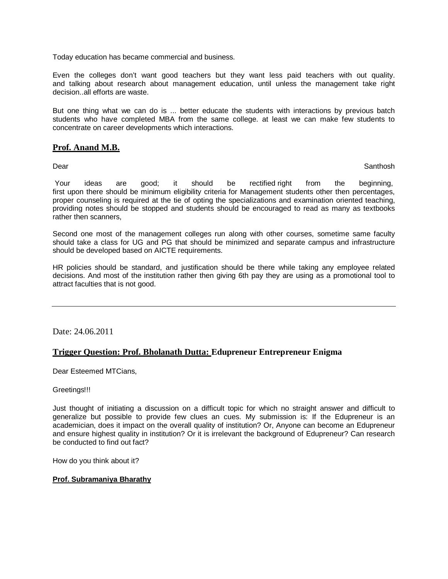Today education has became commercial and business.

Even the colleges don't want good teachers but they want less paid teachers with out quality. and talking about research about management education, until unless the management take right decision..all efforts are waste.

But one thing what we can do is ... better educate the students with interactions by previous batch students who have completed MBA from the same college. at least we can make few students to concentrate on career developments which interactions.

### **Prof. Anand M.B.**

#### Dear Santhosh **Santhosh (1999)** and the second second second second second second second second second second second second second second second second second second second second second second second second second second

Your ideas are good; it should be rectified right from the beginning, first upon there should be minimum eligibility criteria for Management students other then percentages, proper counseling is required at the tie of opting the specializations and examination oriented teaching, providing notes should be stopped and students should be encouraged to read as many as textbooks rather then scanners,

Second one most of the management colleges run along with other courses, sometime same faculty should take a class for UG and PG that should be minimized and separate campus and infrastructure should be developed based on AICTE requirements.

HR policies should be standard, and justification should be there while taking any employee related decisions. And most of the institution rather then giving 6th pay they are using as a promotional tool to attract faculties that is not good.

Date: 24.06.2011

## **Trigger Question: Prof. Bholanath Dutta: Edupreneur Entrepreneur Enigma**

Dear Esteemed MTCians,

Greetings!!!

Just thought of initiating a discussion on a difficult topic for which no straight answer and difficult to generalize but possible to provide few clues an cues. My submission is: If the Edupreneur is an academician, does it impact on the overall quality of institution? Or, Anyone can become an Edupreneur and ensure highest quality in institution? Or it is irrelevant the background of Edupreneur? Can research be conducted to find out fact?

How do you think about it?

### **Prof. Subramaniya Bharathy**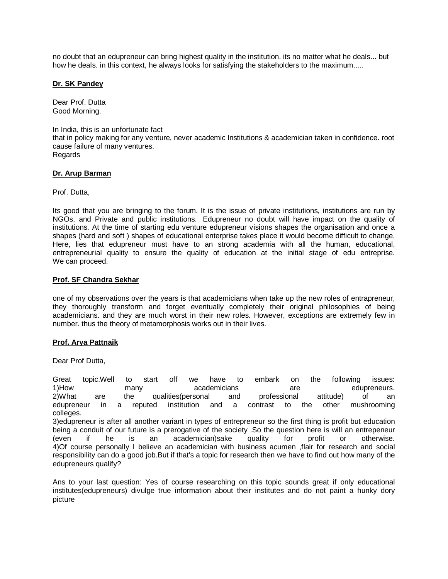no doubt that an edupreneur can bring highest quality in the institution. its no matter what he deals... but how he deals. in this context, he always looks for satisfying the stakeholders to the maximum.....

#### **Dr. SK Pandey**

Dear Prof. Dutta Good Morning.

In India, this is an unfortunate fact that in policy making for any venture, never academic Institutions & academician taken in confidence. root cause failure of many ventures. Regards

### **Dr. Arup Barman**

Prof. Dutta,

Its good that you are bringing to the forum. It is the issue of private institutions, institutions are run by NGOs, and Private and public institutions. Edupreneur no doubt will have impact on the quality of institutions. At the time of starting edu venture edupreneur visions shapes the organisation and once a shapes (hard and soft ) shapes of educational enterprise takes place it would become difficult to change. Here, lies that edupreneur must have to an strong academia with all the human, educational, entrepreneurial quality to ensure the quality of education at the initial stage of edu entreprise. We can proceed.

### **Prof. SF Chandra Sekhar**

one of my observations over the years is that academicians when take up the new roles of entrapreneur, they thoroughly transform and forget eventually completely their original philosophies of being academicians. and they are much worst in their new roles. However, exceptions are extremely few in number. thus the theory of metamorphosis works out in their lives.

### **Prof. Arya Pattnaik**

Dear Prof Dutta,

Great topic.Well to start off we have to embark on the following issues: 1)How many academicians are edupreneurs.<br>1.11 are the qualities or and professional attitude of an are the qualities(personal and professional attitude) of an edupreneur in a reputed institution and a contrast to the other mushrooming colleges. 3)edupreneur is after all another variant in types of entrepreneur so the first thing is profit but education

being a conduit of our future is a prerogative of the society .So the question here is will an entrepeneur (even if he is an academician)sake quality for profit or otherwise. 4)Of course personally I believe an academician with business acumen ,flair for research and social responsibility can do a good job.But if that's a topic for research then we have to find out how many of the edupreneurs qualify?

Ans to your last question: Yes of course researching on this topic sounds great if only educational institutes(edupreneurs) divulge true information about their institutes and do not paint a hunky dory picture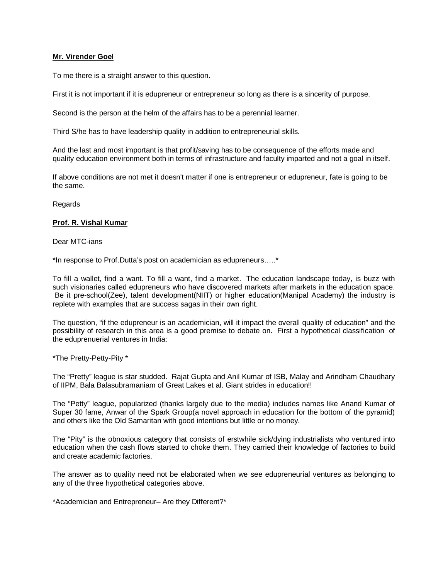### **Mr. Virender Goel**

To me there is a straight answer to this question.

First it is not important if it is edupreneur or entrepreneur so long as there is a sincerity of purpose.

Second is the person at the helm of the affairs has to be a perennial learner.

Third S/he has to have leadership quality in addition to entrepreneurial skills.

And the last and most important is that profit/saving has to be consequence of the efforts made and quality education environment both in terms of infrastructure and faculty imparted and not a goal in itself.

If above conditions are not met it doesn't matter if one is entrepreneur or edupreneur, fate is going to be the same.

Regards

#### **Prof. R. Vishal Kumar**

Dear MTC-ians

\*In response to Prof.Dutta's post on academician as edupreneurs…..\*

To fill a wallet, find a want. To fill a want, find a market. The education landscape today, is buzz with such visionaries called edupreneurs who have discovered markets after markets in the education space. Be it pre-school(Zee), talent development(NIIT) or higher education(Manipal Academy) the industry is replete with examples that are success sagas in their own right.

The question, "if the edupreneur is an academician, will it impact the overall quality of education" and the possibility of research in this area is a good premise to debate on. First a hypothetical classification of the eduprenuerial ventures in India:

\*The Pretty-Petty-Pity \*

The "Pretty" league is star studded. Rajat Gupta and Anil Kumar of ISB, Malay and Arindham Chaudhary of IIPM, Bala Balasubramaniam of Great Lakes et al. Giant strides in education!!

The "Petty" league, popularized (thanks largely due to the media) includes names like Anand Kumar of Super 30 fame, Anwar of the Spark Group(a novel approach in education for the bottom of the pyramid) and others like the Old Samaritan with good intentions but little or no money.

The "Pity" is the obnoxious category that consists of erstwhile sick/dying industrialists who ventured into education when the cash flows started to choke them. They carried their knowledge of factories to build and create academic factories.

The answer as to quality need not be elaborated when we see edupreneurial ventures as belonging to any of the three hypothetical categories above.

\*Academician and Entrepreneur– Are they Different?\*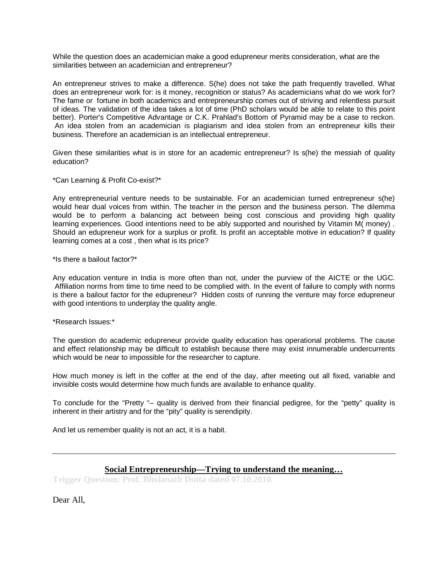While the question does an academician make a good edupreneur merits consideration, what are the similarities between an academician and entrepreneur?

An entrepreneur strives to make a difference. S(he) does not take the path frequently travelled. What does an entrepreneur work for: is it money, recognition or status? As academicians what do we work for? The fame or fortune in both academics and entrepreneurship comes out of striving and relentless pursuit of ideas. The validation of the idea takes a lot of time (PhD scholars would be able to relate to this point better). Porter's Competitive Advantage or C.K. Prahlad's Bottom of Pyramid may be a case to reckon. An idea stolen from an academician is plagiarism and idea stolen from an entrepreneur kills their business. Therefore an academician is an intellectual entrepreneur.

Given these similarities what is in store for an academic entrepreneur? Is s(he) the messiah of quality education?

\*Can Learning & Profit Co-exist?\*

Any entrepreneurial venture needs to be sustainable. For an academician turned entrepreneur s(he) would hear dual voices from within. The teacher in the person and the business person. The dilemma would be to perform a balancing act between being cost conscious and providing high quality learning experiences. Good intentions need to be ably supported and nourished by Vitamin M( money) . Should an edupreneur work for a surplus or profit. Is profit an acceptable motive in education? If quality learning comes at a cost , then what is its price?

\*Is there a bailout factor?\*

Any education venture in India is more often than not, under the purview of the AICTE or the UGC. Affiliation norms from time to time need to be complied with. In the event of failure to comply with norms is there a bailout factor for the edupreneur? Hidden costs of running the venture may force edupreneur with good intentions to underplay the quality angle.

\*Research Issues:\*

The question do academic edupreneur provide quality education has operational problems. The cause and effect relationship may be difficult to establish because there may exist innumerable undercurrents which would be near to impossible for the researcher to capture.

How much money is left in the coffer at the end of the day, after meeting out all fixed, variable and invisible costs would determine how much funds are available to enhance quality.

To conclude for the "Pretty "– quality is derived from their financial pedigree, for the "petty" quality is inherent in their artistry and for the "pity" quality is serendipity.

And let us remember quality is not an act, it is a habit.

# **Social Entrepreneurship—Trying to understand the meaning…**

**Trigger Question: Prof. Bholanath Dutta dated 07.10.2010.**

Dear All,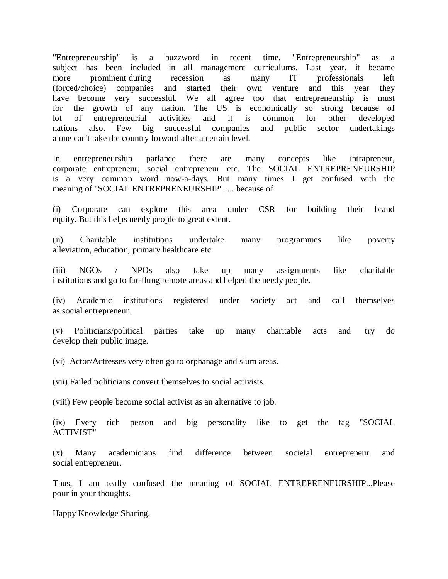"Entrepreneurship" is a buzzword in recent time. "Entrepreneurship" as a subject has been included in all management curriculums. Last year, it became more prominent during recession as many IT professionals left (forced/choice) companies and started their own venture and this year they have become very successful. We all agree too that entrepreneurship is must for the growth of any nation. The US is economically so strong because of lot of entrepreneurial activities and it is common for other developed nations also. Few big successful companies and public sector undertakings alone can't take the country forward after a certain level.

In entrepreneurship parlance there are many concepts like intrapreneur, corporate entrepreneur, social entrepreneur etc. The SOCIAL ENTREPRENEURSHIP is a very common word now-a-days. But many times I get confused with the meaning of "SOCIAL ENTREPRENEURSHIP". ... because of

(i) Corporate can explore this area under CSR for building their brand equity. But this helps needy people to great extent.

(ii) Charitable institutions undertake many programmes like poverty alleviation, education, primary healthcare etc.

(iii) NGOs / NPOs also take up many assignments like charitable institutions and go to far-flung remote areas and helped the needy people.

(iv) Academic institutions registered under society act and call themselves as social entrepreneur.

(v) Politicians/political parties take up many charitable acts and try do develop their public image.

(vi) Actor/Actresses very often go to orphanage and slum areas.

(vii) Failed politicians convert themselves to social activists.

(viii) Few people become social activist as an alternative to job.

(ix) Every rich person and big personality like to get the tag "SOCIAL ACTIVIST"

(x) Many academicians find difference between societal entrepreneur and social entrepreneur.

Thus, I am really confused the meaning of SOCIAL ENTREPRENEURSHIP...Please pour in your thoughts.

Happy Knowledge Sharing.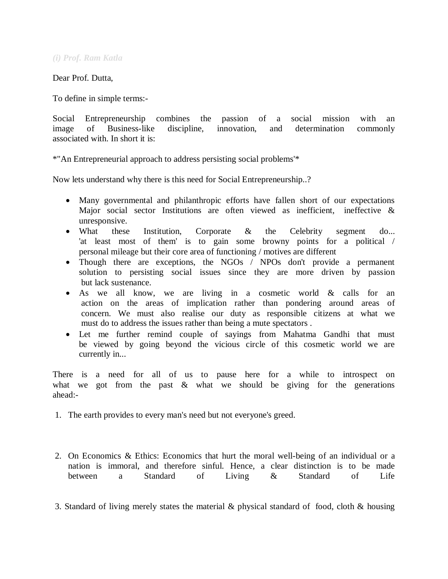## Dear Prof. Dutta,

To define in simple terms:-

Social Entrepreneurship combines the passion of a social mission with an image of Business-like discipline, innovation, and determination commonly associated with. In short it is:

\*"An Entrepreneurial approach to address persisting social problems'\*

Now lets understand why there is this need for Social Entrepreneurship..?

- Many governmental and philanthropic efforts have fallen short of our expectations Major social sector Institutions are often viewed as inefficient, ineffective & unresponsive.
- What these Institution, Corporate & the Celebrity segment do... 'at least most of them' is to gain some browny points for a political / personal mileage but their core area of functioning / motives are different
- Though there are exceptions, the NGOs / NPOs don't provide a permanent solution to persisting social issues since they are more driven by passion but lack sustenance.
- As we all know, we are living in a cosmetic world & calls for an action on the areas of implication rather than pondering around areas of concern. We must also realise our duty as responsible citizens at what we must do to address the issues rather than being a mute spectators .
- Let me further remind couple of sayings from Mahatma Gandhi that must be viewed by going beyond the vicious circle of this cosmetic world we are currently in...

There is a need for all of us to pause here for a while to introspect on what we got from the past & what we should be giving for the generations ahead:-

- 1. The earth provides to every man's need but not everyone's greed.
- 2. On Economics & Ethics: Economics that hurt the moral well-being of an individual or a nation is immoral, and therefore sinful. Hence, a clear distinction is to be made between a Standard of Living & Standard of Life
- 3. Standard of living merely states the material & physical standard of food, cloth & housing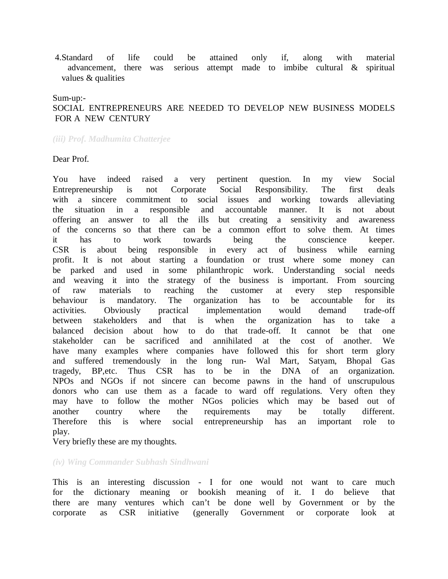4.Standard of life could be attained only if, along with material advancement, there was serious attempt made to imbibe cultural & spiritual values & qualities

### Sum-up:-

# SOCIAL ENTREPRENEURS ARE NEEDED TO DEVELOP NEW BUSINESS MODELS FOR A NEW CENTURY

### *(iii) Prof. Madhumita Chatterjee*

Dear Prof.

You have indeed raised a very pertinent question. In my view Social Entrepreneurship is not Corporate Social Responsibility. The first deals with a sincere commitment to social issues and working towards alleviating the situation in a responsible and accountable manner. It is not about offering an answer to all the ills but creating a sensitivity and awareness of the concerns so that there can be a common effort to solve them. At times it has to work towards being the conscience keeper. CSR is about being responsible in every act of business while earning profit. It is not about starting a foundation or trust where some money can be parked and used in some philanthropic work. Understanding social needs and weaving it into the strategy of the business is important. From sourcing of raw materials to reaching the customer at every step responsible behaviour is mandatory. The organization has to be accountable for its activities. Obviously practical implementation would demand trade-off between stakeholders and that is when the organization has to take a balanced decision about how to do that trade-off. It cannot be that one stakeholder can be sacrificed and annihilated at the cost of another. We have many examples where companies have followed this for short term glory and suffered tremendously in the long run- Wal Mart, Satyam, Bhopal Gas tragedy, BP,etc. Thus CSR has to be in the DNA of an organization. NPOs and NGOs if not sincere can become pawns in the hand of unscrupulous donors who can use them as a facade to ward off regulations. Very often they may have to follow the mother NGos policies which may be based out of another country where the requirements may be totally different. Therefore this is where social entrepreneurship has an important role to play.

Very briefly these are my thoughts.

### *(iv) Wing Commander Subhash Sindhwani*

This is an interesting discussion - I for one would not want to care much for the dictionary meaning or bookish meaning of it. I do believe that there are many ventures which can't be done well by Government or by the corporate as CSR initiative (generally Government or corporate look at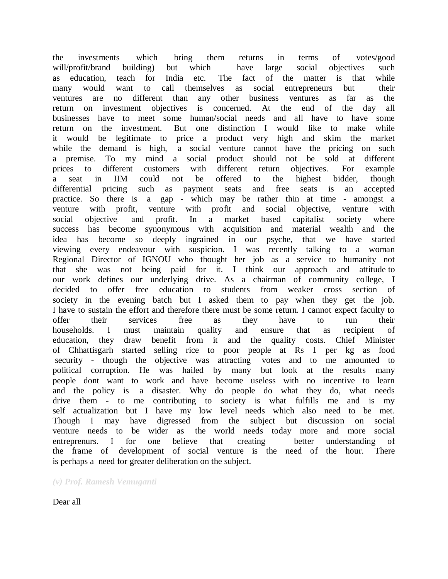the investments which bring them returns in terms of votes/good will/profit/brand building) but which have large social objectives such as education, teach for India etc. The fact of the matter is that while many would want to call themselves as social entrepreneurs but their ventures are no different than any other business ventures as far as the return on investment objectives is concerned. At the end of the day all businesses have to meet some human/social needs and all have to have some return on the investment. But one distinction I would like to make while it would be legitimate to price a product very high and skim the market while the demand is high, a social venture cannot have the pricing on such a premise. To my mind a social product should not be sold at different prices to different customers with different return objectives. For example a seat in IIM could not be offered to the highest bidder, though differential pricing such as payment seats and free seats is an accepted practice. So there is a gap - which may be rather thin at time - amongst a venture with profit, venture with profit and social objective, venture with social objective and profit. In a market based capitalist society where success has become synonymous with acquisition and material wealth and the idea has become so deeply ingrained in our psyche, that we have started viewing every endeavour with suspicion. I was recently talking to a woman Regional Director of IGNOU who thought her job as a service to humanity not that she was not being paid for it. I think our approach and attitude to our work defines our underlying drive. As a chairman of community college, I decided to offer free education to students from weaker cross section of society in the evening batch but I asked them to pay when they get the job. I have to sustain the effort and therefore there must be some return. I cannot expect faculty to offer their services free as they have to run their households. I must maintain quality and ensure that as recipient of education, they draw benefit from it and the quality costs. Chief Minister of Chhattisgarh started selling rice to poor people at Rs 1 per kg as food security - though the objective was attracting votes and to me amounted to political corruption. He was hailed by many but look at the results many people dont want to work and have become useless with no incentive to learn and the policy is a disaster. Why do people do what they do, what needs drive them - to me contributing to society is what fulfills me and is my self actualization but I have my low level needs which also need to be met. Though I may have digressed from the subject but discussion on social venture needs to be wider as the world needs today more and more social entreprenurs. I for one believe that creating better understanding of the frame of development of social venture is the need of the hour. There is perhaps a need for greater deliberation on the subject.

*(v) Prof. Ramesh Vemuganti*

Dear all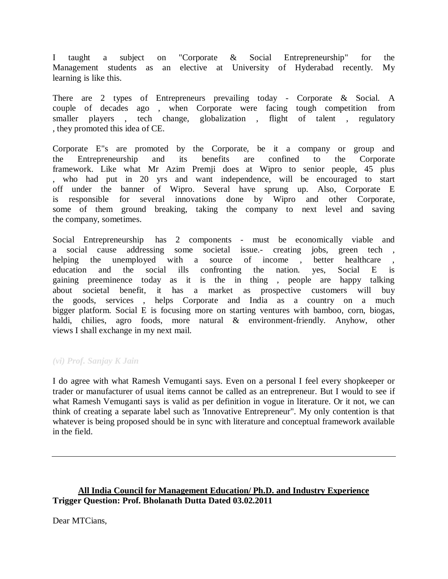I taught a subject on "Corporate & Social Entrepreneurship" for the Management students as an elective at University of Hyderabad recently. My learning is like this.

There are 2 types of Entrepreneurs prevailing today - Corporate & Social. A couple of decades ago , when Corporate were facing tough competition from smaller players , tech change, globalization , flight of talent , regulatory , they promoted this idea of CE.

Corporate E"s are promoted by the Corporate, be it a company or group and the Entrepreneurship and its benefits are confined to the Corporate framework. Like what Mr Azim Premji does at Wipro to senior people, 45 plus , who had put in 20 yrs and want independence, will be encouraged to start off under the banner of Wipro. Several have sprung up. Also, Corporate E is responsible for several innovations done by Wipro and other Corporate, some of them ground breaking, taking the company to next level and saving the company, sometimes.

Social Entrepreneurship has 2 components - must be economically viable and a social cause addressing some societal issue.- creating jobs, green tech , helping the unemployed with a source of income, better healthcare education and the social ills confronting the nation. yes, Social E is gaining preeminence today as it is the in thing , people are happy talking about societal benefit, it has a market as prospective customers will buy the goods, services , helps Corporate and India as a country on a much bigger platform. Social E is focusing more on starting ventures with bamboo, corn, biogas, haldi, chilies, agro foods, more natural & environment-friendly. Anyhow, other views I shall exchange in my next mail.

# *(vi) Prof. Sanjay K Jain*

I do agree with what Ramesh Vemuganti says. Even on a personal I feel every shopkeeper or trader or manufacturer of usual items cannot be called as an entrepreneur. But I would to see if what Ramesh Vemuganti says is valid as per definition in vogue in literature. Or it not, we can think of creating a separate label such as 'Innovative Entrepreneur". My only contention is that whatever is being proposed should be in sync with literature and conceptual framework available in the field.

# **All India Council for Management Education/ Ph.D. and Industry Experience Trigger Question: Prof. Bholanath Dutta Dated 03.02.2011**

Dear MTCians,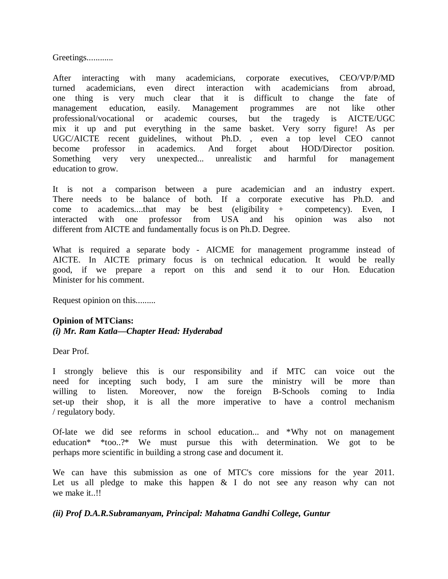Greetings.............

After interacting with many academicians, corporate executives, CEO/VP/P/MD turned academicians, even direct interaction with academicians from abroad, one thing is very much clear that it is difficult to change the fate of management education, easily. Management programmes are not like other professional/vocational or academic courses, but the tragedy is AICTE/UGC mix it up and put everything in the same basket. Very sorry figure! As per UGC/AICTE recent guidelines, without Ph.D. , even a top level CEO cannot become professor in academics. And forget about HOD/Director position. Something very very unexpected... unrealistic and harmful for management education to grow.

It is not a comparison between a pure academician and an industry expert. There needs to be balance of both. If a corporate executive has Ph.D. and come to academics....that may be best (eligibility + competency). Even, I interacted with one professor from USA and his opinion was also not different from AICTE and fundamentally focus is on Ph.D. Degree.

What is required a separate body - AICME for management programme instead of AICTE. In AICTE primary focus is on technical education. It would be really good, if we prepare a report on this and send it to our Hon. Education Minister for his comment.

Request opinion on this.........

## **Opinion of MTCians:** *(i) Mr. Ram Katla—Chapter Head: Hyderabad*

Dear Prof.

I strongly believe this is our responsibility and if MTC can voice out the need for incepting such body, I am sure the ministry will be more than willing to listen. Moreover, now the foreign B-Schools coming to India set-up their shop, it is all the more imperative to have a control mechanism / regulatory body.

Of-late we did see reforms in school education... and \*Why not on management education\* \*too..?\* We must pursue this with determination. We got to be perhaps more scientific in building a strong case and document it.

We can have this submission as one of MTC's core missions for the year 2011. Let us all pledge to make this happen  $\&$  I do not see any reason why can not we make it..!!

# *(ii) Prof D.A.R.Subramanyam, Principal: Mahatma Gandhi College, Guntur*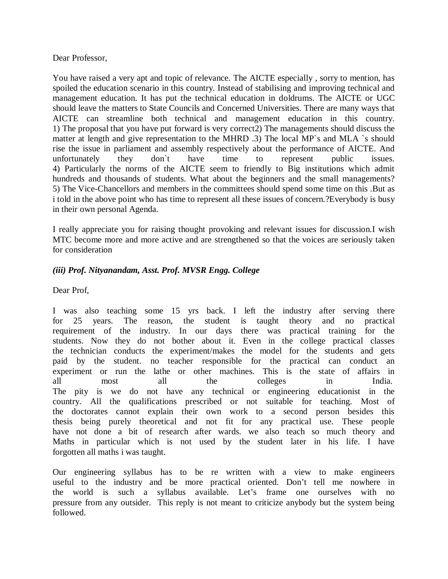## Dear Professor,

You have raised a very apt and topic of relevance. The AICTE especially , sorry to mention, has spoiled the education scenario in this country. Instead of stabilising and improving technical and management education. It has put the technical education in doldrums. The AICTE or UGC should leave the matters to State Councils and Concerned Universities. There are many ways that AICTE can streamline both technical and management education in this country. 1) The proposal that you have put forward is very correct2) The managements should discuss the matter at length and give representation to the MHRD .3) The local MP's and MLA 's should rise the issue in parliament and assembly respectively about the performance of AICTE. And unfortunately they don`t have time to represent public issues. 4) Particularly the norms of the AICTE seem to friendly to Big institutions which admit hundreds and thousands of students. What about the beginners and the small managements? 5) The Vice-Chancellors and members in the committees should spend some time on this .But as i told in the above point who has time to represent all these issues of concern.?Everybody is busy in their own personal Agenda.

I really appreciate you for raising thought provoking and relevant issues for discussion.I wish MTC become more and more active and are strengthened so that the voices are seriously taken for consideration

# *(iii) Prof. Nityanandam, Asst. Prof. MVSR Engg. College*

Dear Prof,

I was also teaching some 15 yrs back. I left the industry after serving there for 25 years. The reason, the student is taught theory and no practical requirement of the industry. In our days there was practical training for the students. Now they do not bother about it. Even in the college practical classes the technician conducts the experiment/makes the model for the students and gets paid by the student. no teacher responsible for the practical can conduct an experiment or run the lathe or other machines. This is the state of affairs in all most all the colleges in India. The pity is we do not have any technical or engineering educationist in the country. All the qualifications prescribed or not suitable for teaching. Most of the doctorates cannot explain their own work to a second person besides this thesis being purely theoretical and not fit for any practical use. These people have not done a bit of research after wards. we also teach so much theory and Maths in particular which is not used by the student later in his life. I have forgotten all maths i was taught.

Our engineering syllabus has to be re written with a view to make engineers useful to the industry and be more practical oriented. Don't tell me nowhere in the world is such a syllabus available. Let's frame one ourselves with no pressure from any outsider. This reply is not meant to criticize anybody but the system being followed.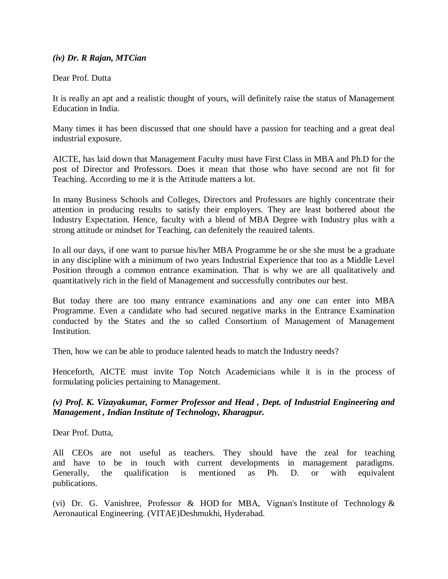## *(iv) Dr. R Rajan, MTCian*

## Dear Prof. Dutta

It is really an apt and a realistic thought of yours, will definitely raise the status of Management Education in India.

Many times it has been discussed that one should have a passion for teaching and a great deal industrial exposure.

AICTE, has laid down that Management Faculty must have First Class in MBA and Ph.D for the post of Director and Professors. Does it mean that those who have second are not fit for Teaching. According to me it is the Attitude matters a lot.

In many Business Schools and Colleges, Directors and Professors are highly concentrate their attention in producing results to satisfy their employers. They are least bothered about the Industry Expectation. Hence, faculty with a blend of MBA Degree with Industry plus with a strong attitude or mindset for Teaching, can defenitely the reauired talents.

In all our days, if one want to pursue his/her MBA Programme he or she she must be a graduate in any discipline with a minimum of two years Industrial Experience that too as a Middle Level Position through a common entrance examination. That is why we are all qualitatively and quantitatively rich in the field of Management and successfully contributes our best.

But today there are too many entrance examinations and any one can enter into MBA Programme. Even a candidate who had secured negative marks in the Entrance Examination conducted by the States and the so called Consortium of Management of Management Institution.

Then, how we can be able to produce talented heads to match the Industry needs?

Henceforth, AICTE must invite Top Notch Academicians while it is in the process of formulating policies pertaining to Management.

# *(v) Prof. K. Vizayakumar, Former Professor and Head , Dept. of Industrial Engineering and Management , Indian Institute of Technology, Kharagpur.*

Dear Prof. Dutta,

All CEOs are not useful as teachers. They should have the zeal for teaching and have to be in touch with current developments in management paradigms.<br>Generally, the qualification is mentioned as Ph. D. or with equivalent Generally, the qualification is mentioned as Ph. D. or with publications.

(vi) Dr. G. Vanishree, Professor & HOD for MBA, Vignan's Institute of Technology & Aeronautical Engineering. (VITAE)Deshmukhi, Hyderabad.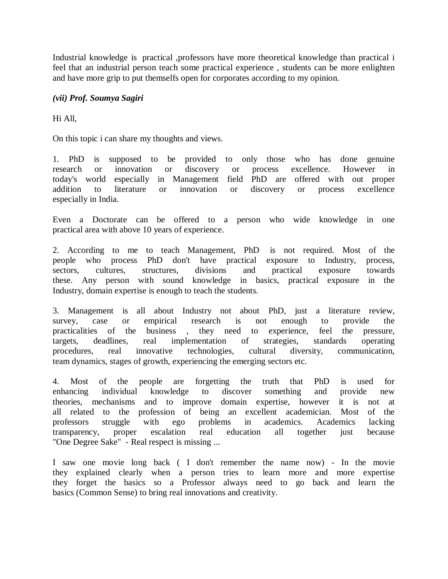Industrial knowledge is practical ,professors have more theoretical knowledge than practical i feel that an industrial person teach some practical experience , students can be more enlighten and have more grip to put themselfs open for corporates according to my opinion.

# *(vii) Prof. Soumya Sagiri*

Hi All,

On this topic i can share my thoughts and views.

1. PhD is supposed to be provided to only those who has done genuine research or innovation or discovery or process excellence. However in today's world especially in Management field PhD are offered with out proper addition to literature or innovation or discovery or process excellence especially in India.

Even a Doctorate can be offered to a person who wide knowledge in one practical area with above 10 years of experience.

2. According to me to teach Management, PhD is not required. Most of the people who process PhD don't have practical exposure to Industry, process, sectors, cultures, structures, divisions and practical exposure towards these. Any person with sound knowledge in basics, practical exposure in the Industry, domain expertise is enough to teach the students.

3. Management is all about Industry not about PhD, just a literature review, survey, case or empirical research is not enough to provide the practicalities of the business , they need to experience, feel the pressure, targets, deadlines, real implementation of strategies, standards operating procedures, real innovative technologies, cultural diversity, communication, team dynamics, stages of growth, experiencing the emerging sectors etc.

4. Most of the people are forgetting the truth that PhD is used for enhancing individual knowledge to discover something and provide new theories, mechanisms and to improve domain expertise, however it is not at all related to the profession of being an excellent academician. Most of the professors struggle with ego problems in academics. Academics lacking transparency, proper escalation real education all together just because "One Degree Sake" - Real respect is missing ...

I saw one movie long back ( I don't remember the name now) - In the movie they explained clearly when a person tries to learn more and more expertise they forget the basics so a Professor always need to go back and learn the basics (Common Sense) to bring real innovations and creativity.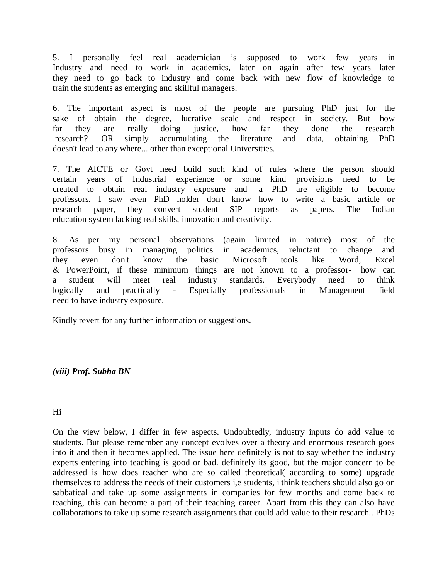5. I personally feel real academician is supposed to work few years in Industry and need to work in academics, later on again after few years later they need to go back to industry and come back with new flow of knowledge to train the students as emerging and skillful managers.

6. The important aspect is most of the people are pursuing PhD just for the sake of obtain the degree, lucrative scale and respect in society. But how far they are really doing justice, how far they done the research research? OR simply accumulating the literature and data, obtaining PhD doesn't lead to any where....other than exceptional Universities.

7. The AICTE or Govt need build such kind of rules where the person should certain years of Industrial experience or some kind provisions need to be created to obtain real industry exposure and a PhD are eligible to become professors. I saw even PhD holder don't know how to write a basic article or research paper, they convert student SIP reports as papers. The Indian education system lacking real skills, innovation and creativity.

8. As per my personal observations (again limited in nature) most of the professors busy in managing politics in academics, reluctant to change and they even don't know the basic Microsoft tools like Word, Excel & PowerPoint, if these minimum things are not known to a professor- how can a student will meet real industry standards. Everybody need to think logically and practically - Especially professionals in Management field need to have industry exposure.

Kindly revert for any further information or suggestions.

*(viii) Prof. Subha BN*

## Hi

On the view below, I differ in few aspects. Undoubtedly, industry inputs do add value to students. But please remember any concept evolves over a theory and enormous research goes into it and then it becomes applied. The issue here definitely is not to say whether the industry experts entering into teaching is good or bad. definitely its good, but the major concern to be addressed is how does teacher who are so called theoretical( according to some) upgrade themselves to address the needs of their customers i,e students, i think teachers should also go on sabbatical and take up some assignments in companies for few months and come back to teaching, this can become a part of their teaching career. Apart from this they can also have collaborations to take up some research assignments that could add value to their research.. PhDs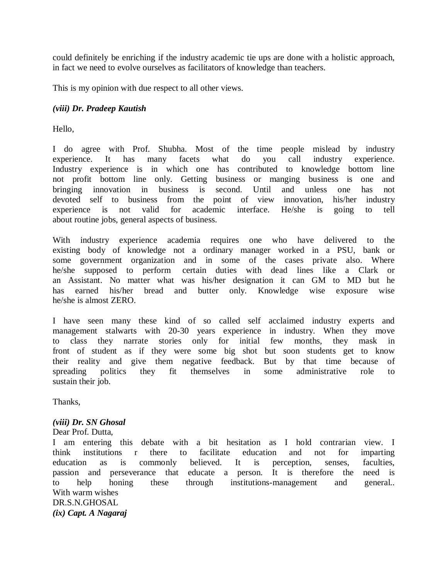could definitely be enriching if the industry academic tie ups are done with a holistic approach, in fact we need to evolve ourselves as facilitators of knowledge than teachers.

This is my opinion with due respect to all other views.

# *(viii) Dr. Pradeep Kautish*

Hello,

I do agree with Prof. Shubha. Most of the time people mislead by industry experience. It has many facets what do you call industry experience. Industry experience is in which one has contributed to knowledge bottom line not profit bottom line only. Getting business or manging business is one and bringing innovation in business is second. Until and unless one has not devoted self to business from the point of view innovation, his/her industry experience is not valid for academic interface. He/she is going to tell about routine jobs, general aspects of business.

With industry experience academia requires one who have delivered to the existing body of knowledge not a ordinary manager worked in a PSU, bank or some government organization and in some of the cases private also. Where he/she supposed to perform certain duties with dead lines like a Clark or an Assistant. No matter what was his/her designation it can GM to MD but he has earned his/her bread and butter only. Knowledge wise exposure wise he/she is almost ZERO.

I have seen many these kind of so called self acclaimed industry experts and management stalwarts with 20-30 years experience in industry. When they move to class they narrate stories only for initial few months, they mask in front of student as if they were some big shot but soon students get to know their reality and give them negative feedback. But by that time because of spreading politics they fit themselves in some administrative role to sustain their job.

Thanks,

## *(viii) Dr. SN Ghosal*

### Dear Prof. Dutta,

I am entering this debate with a bit hesitation as I hold contrarian view. I think institutions r there to facilitate education and not for imparting education as is commonly believed. It is perception, senses, faculties, passion and perseverance that educate a person. It is therefore the need is to help honing these through institutions-management and general.. With warm wishes DR.S.N.GHOSAL

*(ix) Capt. A Nagaraj*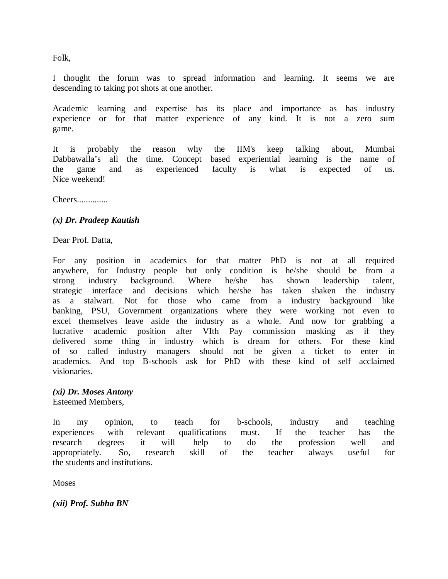Folk,

I thought the forum was to spread information and learning. It seems we are descending to taking pot shots at one another.

Academic learning and expertise has its place and importance as has industry experience or for that matter experience of any kind. It is not a zero sum game.

It is probably the reason why the IIM's keep talking about, Mumbai Dabbawalla's all the time. Concept based experiential learning is the name of the game and as experienced faculty is what is expected of us. Nice weekend!

Cheers..............

## *(x) Dr. Pradeep Kautish*

Dear Prof. Datta,

For any position in academics for that matter PhD is not at all required anywhere, for Industry people but only condition is he/she should be from a strong industry background. Where he/she has shown leadership talent, strategic interface and decisions which he/she has taken shaken the industry as a stalwart. Not for those who came from a industry background like banking, PSU, Government organizations where they were working not even to excel themselves leave aside the industry as a whole. And now for grabbing a lucrative academic position after VIth Pay commission masking as if they delivered some thing in industry which is dream for others. For these kind of so called industry managers should not be given a ticket to enter in academics. And top B-schools ask for PhD with these kind of self acclaimed visionaries.

*(xi) Dr. Moses Antony* Esteemed Members,

In my opinion, to teach for b-schools, industry and teaching experiences with relevant qualifications must. If the teacher has the research degrees it will help to do the profession well and appropriately. So, research skill of the teacher always useful for the students and institutions.

**Moses** 

*(xii) Prof. Subha BN*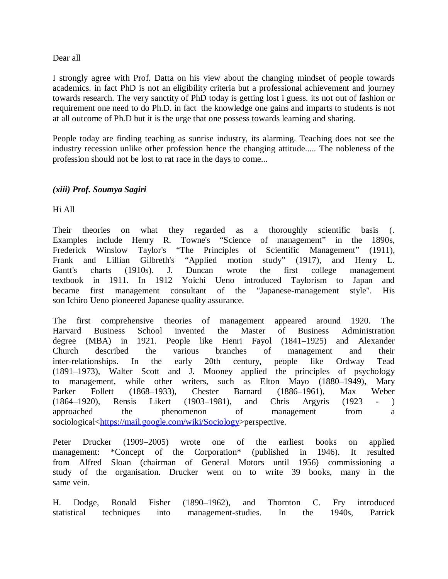## Dear all

I strongly agree with Prof. Datta on his view about the changing mindset of people towards academics. in fact PhD is not an eligibility criteria but a professional achievement and journey towards research. The very sanctity of PhD today is getting lost i guess. its not out of fashion or requirement one need to do Ph.D. in fact the knowledge one gains and imparts to students is not at all outcome of Ph.D but it is the urge that one possess towards learning and sharing.

People today are finding teaching as sunrise industry, its alarming. Teaching does not see the industry recession unlike other profession hence the changing attitude..... The nobleness of the profession should not be lost to rat race in the days to come...

## *(xiii) Prof. Soumya Sagiri*

Hi All

Their theories on what they regarded as a thoroughly scientific basis (. Examples include Henry R. Towne's "Science of management" in the 1890s, Frederick Winslow Taylor's "The Principles of Scientific Management" (1911), Frank and Lillian Gilbreth's "Applied motion study" (1917), and Henry L. Gantt's charts (1910s). J. Duncan wrote the first college management textbook in 1911. In 1912 Yoichi Ueno introduced Taylorism to Japan and became first management consultant of the "Japanese-management style". His son Ichiro Ueno pioneered Japanese quality assurance.

The first comprehensive theories of management appeared around 1920. The Harvard Business School invented the Master of Business Administration degree (MBA) in 1921. People like Henri Fayol (1841–1925) and Alexander Church described the various branches of management and their inter-relationships. In the early 20th century, people like Ordway Tead (1891–1973), Walter Scott and J. Mooney applied the principles of psychology to management, while other writers, such as Elton Mayo (1880–1949), Mary Parker Follett (1868–1933), Chester Barnard (1886–1961), Max Weber (1864–1920), Rensis Likert (1903–1981), and Chris Argyris (1923 - ) approached the phenomenon of management from a sociological<https://mail.google.com/wiki/Sociology>perspective.

Peter Drucker (1909–2005) wrote one of the earliest books on applied management: \*Concept of the Corporation\* (published in 1946). It resulted from Alfred Sloan (chairman of General Motors until 1956) commissioning a study of the organisation. Drucker went on to write 39 books, many in the same vein.

H. Dodge, Ronald Fisher (1890–1962), and Thornton C. Fry introduced statistical techniques into management-studies. In the 1940s, Patrick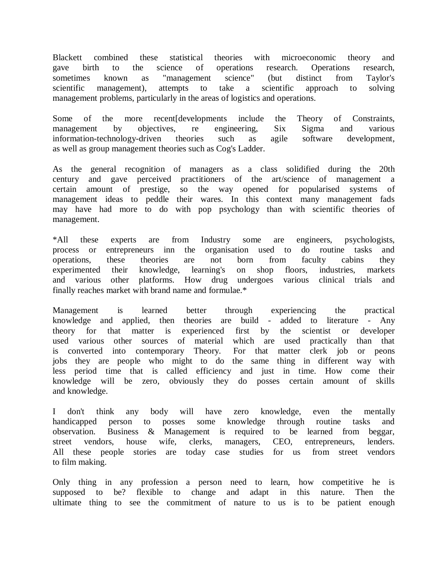Blackett combined these statistical theories with microeconomic theory and gave birth to the science of operations research. Operations research, sometimes known as "management science" (but distinct from Taylor's scientific management), attempts to take a scientific approach to solving management problems, particularly in the areas of logistics and operations.

Some of the more recent[developments include the Theory of Constraints, management by objectives, re engineering, Six Sigma and various information-technology-driven theories such as agile software development, as well as group management theories such as Cog's Ladder.

As the general recognition of managers as a class solidified during the 20th century and gave perceived practitioners of the art/science of management a certain amount of prestige, so the way opened for popularised systems of management ideas to peddle their wares. In this context many management fads may have had more to do with pop psychology than with scientific theories of management.

\*All these experts are from Industry some are engineers, psychologists, process or entrepreneurs inn the organisation used to do routine tasks and operations, these theories are not born from faculty cabins they experimented their knowledge, learning's on shop floors, industries, markets and various other platforms. How drug undergoes various clinical trials and finally reaches market with brand name and formulae.\*

Management is learned better through experiencing the practical knowledge and applied, then theories are build - added to literature - Any theory for that matter is experienced first by the scientist or developer used various other sources of material which are used practically than that is converted into contemporary Theory. For that matter clerk job or peons jobs they are people who might to do the same thing in different way with less period time that is called efficiency and just in time. How come their knowledge will be zero, obviously they do posses certain amount of skills and knowledge.

I don't think any body will have zero knowledge, even the mentally handicapped person to posses some knowledge through routine tasks and observation. Business & Management is required to be learned from beggar, street vendors, house wife, clerks, managers, CEO, entrepreneurs, lenders. All these people stories are today case studies for us from street vendors to film making.

Only thing in any profession a person need to learn, how competitive he is supposed to be? flexible to change and adapt in this nature. Then the ultimate thing to see the commitment of nature to us is to be patient enough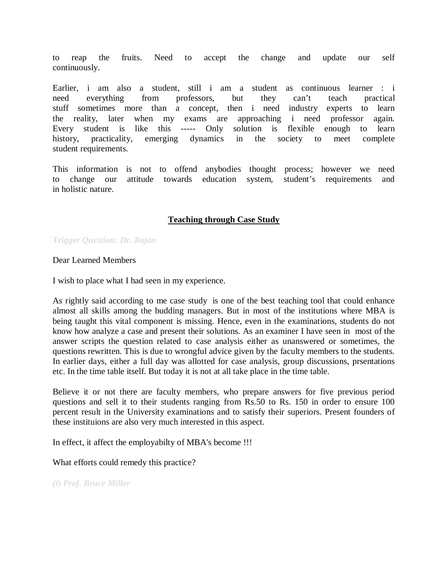to reap the fruits. Need to accept the change and update our self continuously.

Earlier, i am also a student, still i am a student as continuous learner : i need everything from professors, but they can't teach practical stuff sometimes more than a concept, then i need industry experts to learn the reality, later when my exams are approaching i need professor again. Every student is like this ----- Only solution is flexible enough to learn history, practicality, emerging dynamics in the society to meet complete student requirements.

This information is not to offend anybodies thought process; however we need to change our attitude towards education system, student's requirements and in holistic nature.

# **Teaching through Case Study**

## *Trigger Question: Dr. Rajan*

## Dear Learned Members

I wish to place what I had seen in my experience.

As rightly said according to me case study is one of the best teaching tool that could enhance almost all skills among the budding managers. But in most of the institutions where MBA is being taught this vital component is missing. Hence, even in the examinations, students do not know how analyze a case and present their solutions. As an examiner I have seen in most of the answer scripts the question related to case analysis either as unanswered or sometimes, the questions rewritten. This is due to wrongful advice given by the faculty members to the students. In earlier days, either a full day was allotted for case analysis, group discussions, prsentations etc. In the time table itself. But today it is not at all take place in the time table.

Believe it or not there are faculty members, who prepare answers for five previous period questions and sell it to their students ranging from Rs.50 to Rs. 150 in order to ensure 100 percent result in the University examinations and to satisfy their superiors. Present founders of these instituions are also very much interested in this aspect.

In effect, it affect the employabilty of MBA's become !!!

What efforts could remedy this practice?

*(i) Prof. Bruce Miller*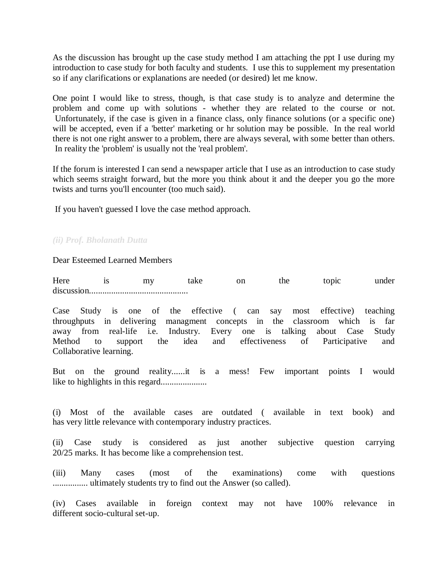As the discussion has brought up the case study method I am attaching the ppt I use during my introduction to case study for both faculty and students. I use this to supplement my presentation so if any clarifications or explanations are needed (or desired) let me know.

One point I would like to stress, though, is that case study is to analyze and determine the problem and come up with solutions - whether they are related to the course or not. Unfortunately, if the case is given in a finance class, only finance solutions (or a specific one) will be accepted, even if a 'better' marketing or hr solution may be possible. In the real world there is not one right answer to a problem, there are always several, with some better than others. In reality the 'problem' is usually not the 'real problem'.

If the forum is interested I can send a newspaper article that I use as an introduction to case study which seems straight forward, but the more you think about it and the deeper you go the more twists and turns you'll encounter (too much said).

If you haven't guessed I love the case method approach.

# *(ii) Prof. Bholanath Dutta*

Dear Esteemed Learned Members

Here is my take on the topic under discussion.............................................

Case Study is one of the effective ( can say most effective) teaching throughputs in delivering managment concepts in the classroom which is far away from real-life i.e. Industry. Every one is talking about Case Study Method to support the idea and effectiveness of Participative and Collaborative learning.

But on the ground reality......it is a mess! Few important points I would like to highlights in this regard.....................

(i) Most of the available cases are outdated ( available in text book) and has very little relevance with contemporary industry practices.

(ii) Case study is considered as just another subjective question carrying 20/25 marks. It has become like a comprehension test.

(iii) Many cases (most of the examinations) come with questions ................ ultimately students try to find out the Answer (so called).

(iv) Cases available in foreign context may not have 100% relevance in different socio-cultural set-up.